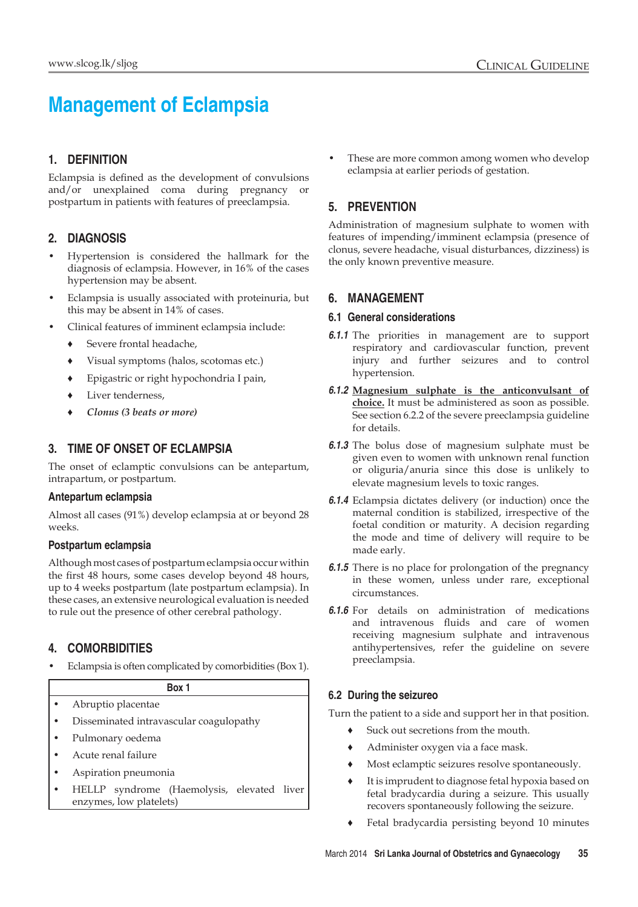# **Management of Eclampsia**

## **1. Definition**

Eclampsia is defined as the development of convulsions and/or unexplained coma during pregnancy or postpartum in patients with features of preeclampsia.

## **2. Diagnosis**

- Hypertension is considered the hallmark for the diagnosis of eclampsia. However, in 16% of the cases hypertension may be absent.
- Eclampsia is usually associated with proteinuria, but this may be absent in 14% of cases.
- Clinical features of imminent eclampsia include:
	- ♦ Severe frontal headache,
	- ♦ Visual symptoms (halos, scotomas etc.)
	- ♦ Epigastric or right hypochondria I pain,
	- Liver tenderness,
	- *♦ Clonus (3 beats or more)*

## **3. Time of onset of eclampsia**

The onset of eclamptic convulsions can be antepartum, intrapartum, or postpartum.

#### **Antepartum eclampsia**

Almost all cases (91%) develop eclampsia at or beyond 28 weeks.

#### **Postpartum eclampsia**

Although most cases of postpartum eclampsia occur within the first 48 hours, some cases develop beyond 48 hours, up to 4 weeks postpartum (late postpartum eclampsia). In these cases, an extensive neurological evaluation is needed to rule out the presence of other cerebral pathology.

## **4. Comorbidities**

• Eclampsia is often complicated by comorbidities (Box 1).

## **Box 1**

- Abruptio placentae
- Disseminated intravascular coagulopathy
- Pulmonary oedema
- Acute renal failure
- Aspiration pneumonia
- HELLP syndrome (Haemolysis, elevated liver enzymes, low platelets)

These are more common among women who develop eclampsia at earlier periods of gestation.

## **5. Prevention**

Administration of magnesium sulphate to women with features of impending/imminent eclampsia (presence of clonus, severe headache, visual disturbances, dizziness) is the only known preventive measure.

## **6. Management**

#### **6.1 General considerations**

- *6.1.1* The priorities in management are to support respiratory and cardiovascular function, prevent injury and further seizures and to control hypertension.
- *6.1.2* **Magnesium sulphate is the anticonvulsant of choice.** It must be administered as soon as possible. See section 6.2.2 of the severe preeclampsia guideline for details.
- *6.1.3* The bolus dose of magnesium sulphate must be given even to women with unknown renal function or oliguria/anuria since this dose is unlikely to elevate magnesium levels to toxic ranges.
- *6.1.4* Eclampsia dictates delivery (or induction) once the maternal condition is stabilized, irrespective of the foetal condition or maturity. A decision regarding the mode and time of delivery will require to be made early.
- *6.1.5* There is no place for prolongation of the pregnancy in these women, unless under rare, exceptional circumstances.
- *6.1.6* For details on administration of medications and intravenous fluids and care of women receiving magnesium sulphate and intravenous antihypertensives, refer the guideline on severe preeclampsia.

#### **6.2 During the seizureo**

Turn the patient to a side and support her in that position.

- Suck out secretions from the mouth.
- Administer oxygen via a face mask.
- Most eclamptic seizures resolve spontaneously.
- ♦ It is imprudent to diagnose fetal hypoxia based on fetal bradycardia during a seizure. This usually recovers spontaneously following the seizure.
- *♦* Fetal bradycardia persisting beyond 10 minutes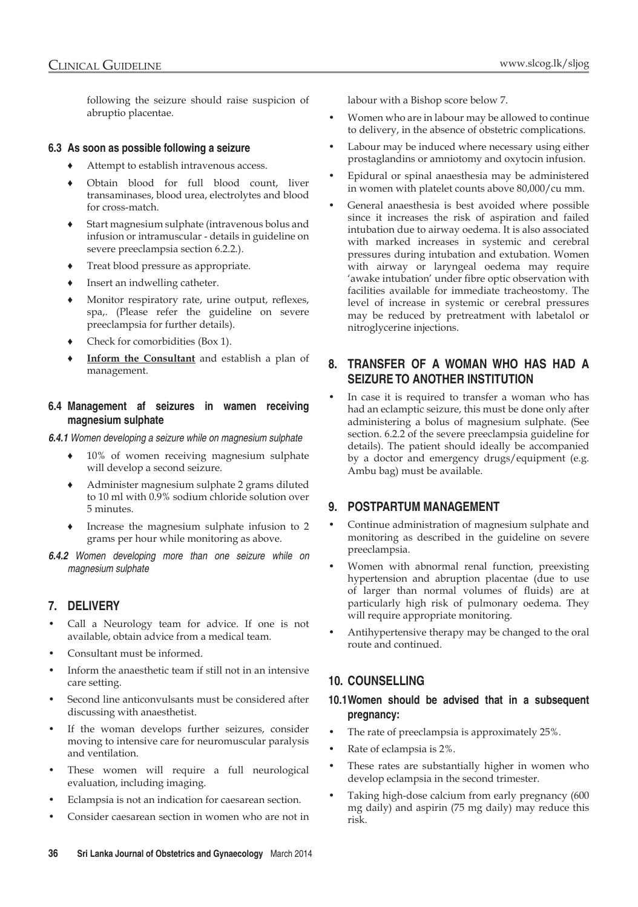following the seizure should raise suspicion of abruptio placentae.

#### **6.3 As soon as possible following a seizure**

- Attempt to establish intravenous access.
- Obtain blood for full blood count, liver transaminases, blood urea, electrolytes and blood for cross-match.
- Start magnesium sulphate (intravenous bolus and infusion or intramuscular - details in guideline on severe preeclampsia section 6.2.2.).
- Treat blood pressure as appropriate.
- Insert an indwelling catheter.
- Monitor respiratory rate, urine output, reflexes, spa,. (Please refer the guideline on severe preeclampsia for further details).
- *♦* Check for comorbidities (Box 1).
- **Inform the Consultant** and establish a plan of management.

#### **6.4 Management af seizures in wamen receiving magnesium sulphate**

*6.4.1 Women developing a seizure while on magnesium sulphate*

- 10% of women receiving magnesium sulphate will develop a second seizure.
- Administer magnesium sulphate 2 grams diluted to 10 ml with 0.9% sodium chloride solution over 5 minutes.
- Increase the magnesium sulphate infusion to 2 grams per hour while monitoring as above.

*6.4.2 Women developing more than one seizure while on magnesium sulphate*

#### **7. Delivery**

- Call a Neurology team for advice. If one is not available, obtain advice from a medical team.
- Consultant must be informed.
- Inform the anaesthetic team if still not in an intensive care setting.
- Second line anticonvulsants must be considered after discussing with anaesthetist.
- If the woman develops further seizures, consider moving to intensive care for neuromuscular paralysis and ventilation.
- These women will require a full neurological evaluation, including imaging.
- Eclampsia is not an indication for caesarean section.
- Consider caesarean section in women who are not in

labour with a Bishop score below 7.

- Women who are in labour may be allowed to continue to delivery, in the absence of obstetric complications.
- Labour may be induced where necessary using either prostaglandins or amniotomy and oxytocin infusion.
- Epidural or spinal anaesthesia may be administered in women with platelet counts above 80,000/cu mm.
- General anaesthesia is best avoided where possible since it increases the risk of aspiration and failed intubation due to airway oedema. It is also associated with marked increases in systemic and cerebral pressures during intubation and extubation. Women with airway or laryngeal oedema may require 'awake intubation' under fibre optic observation with facilities available for immediate tracheostomy. The level of increase in systemic or cerebral pressures may be reduced by pretreatment with labetalol or nitroglycerine injections.

#### **8. Transfer of a woman who has had a seizure to another institution**

In case it is required to transfer a woman who has had an eclamptic seizure, this must be done only after administering a bolus of magnesium sulphate. (See section. 6.2.2 of the severe preeclampsia guideline for details). The patient should ideally be accompanied by a doctor and emergency drugs/equipment (e.g. Ambu bag) must be available.

#### **9. Postpartum management**

- Continue administration of magnesium sulphate and monitoring as described in the guideline on severe preeclampsia.
- Women with abnormal renal function, preexisting hypertension and abruption placentae (due to use of larger than normal volumes of fluids) are at particularly high risk of pulmonary oedema. They will require appropriate monitoring.
- Antihypertensive therapy may be changed to the oral route and continued.

#### **10. Counselling**

#### **10.1Women should be advised that in a subsequent pregnancy:**

- The rate of preeclampsia is approximately 25%.
- Rate of eclampsia is 2%.
- These rates are substantially higher in women who develop eclampsia in the second trimester.
- Taking high-dose calcium from early pregnancy (600 mg daily) and aspirin (75 mg daily) may reduce this risk.